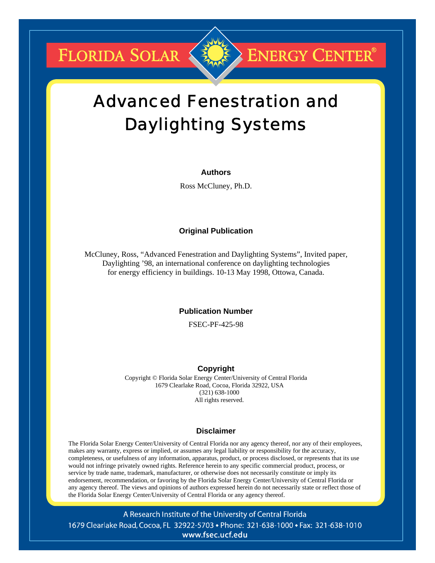**FLORIDA SOLAR** 

## **ENERGY CENTER®**

# Advanced Fenestration and Daylighting Systems

## **Authors**

Ross McCluney, Ph.D.

## **Original Publication**

McCluney, Ross, "Advanced Fenestration and Daylighting Systems", Invited paper, Daylighting '98, an international conference on daylighting technologies for energy efficiency in buildings. 10-13 May 1998, Ottowa, Canada.

## **Publication Number**

FSEC-PF-425-98

## **Copyright**

Copyright © Florida Solar Energy Center/University of Central Florida 1679 Clearlake Road, Cocoa, Florida 32922, USA (321) 638-1000 All rights reserved.

## **Disclaimer**

The Florida Solar Energy Center/University of Central Florida nor any agency thereof, nor any of their employees, makes any warranty, express or implied, or assumes any legal liability or responsibility for the accuracy, completeness, or usefulness of any information, apparatus, product, or process disclosed, or represents that its use would not infringe privately owned rights. Reference herein to any specific commercial product, process, or service by trade name, trademark, manufacturer, or otherwise does not necessarily constitute or imply its endorsement, recommendation, or favoring by the Florida Solar Energy Center/University of Central Florida or any agency thereof. The views and opinions of authors expressed herein do not necessarily state or reflect those of the Florida Solar Energy Center/University of Central Florida or any agency thereof.

A Research Institute of the University of Central Florida 1679 Clearlake Road, Cocoa, FL 32922-5703 • Phone: 321-638-1000 • Fax: 321-638-1010 www.fsec.ucf.edu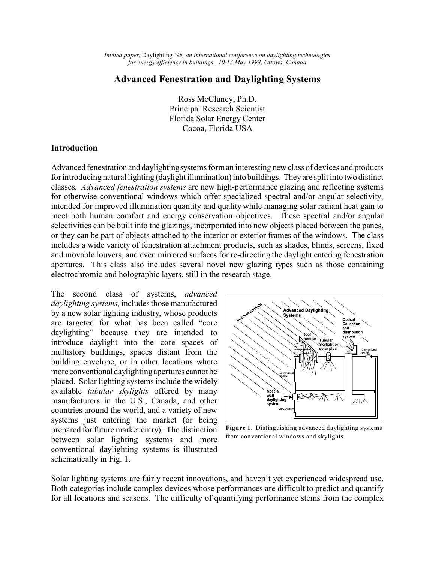## **Advanced Fenestration and Daylighting Systems**

Ross McCluney, Ph.D. Principal Research Scientist Florida Solar Energy Center Cocoa, Florida USA

## **Introduction**

Advanced fenestration and daylightingsystems form an interesting new class of devices and products for introducing natural lighting (daylight illumination) into buildings. They are split into two distinct classes. *Advanced fenestration systems* are new high-performance glazing and reflecting systems for otherwise conventional windows which offer specialized spectral and/or angular selectivity, intended for improved illumination quantity and quality while managing solar radiant heat gain to meet both human comfort and energy conservation objectives. These spectral and/or angular selectivities can be built into the glazings, incorporated into new objects placed between the panes, or they can be part of objects attached to the interior or exterior frames of the windows. The class includes a wide variety of fenestration attachment products, such as shades, blinds, screens, fixed and movable louvers, and even mirrored surfaces for re-directing the daylight entering fenestration apertures. This class also includes several novel new glazing types such as those containing electrochromic and holographic layers, still in the research stage.

The second class of systems, *advanced daylighting systems,* includes those manufactured by a new solar lighting industry, whose products are targeted for what has been called "core daylighting" because they are intended to introduce daylight into the core spaces of multistory buildings, spaces distant from the building envelope, or in other locations where more conventional daylighting apertures cannot be placed. Solar lighting systems include the widely available *tubular skylights* offered by many manufacturers in the U.S., Canada, and other countries around the world, and a variety of new systems just entering the market (or being prepared for future market entry). The distinction between solar lighting systems and more conventional daylighting systems is illustrated schematically in Fig. 1.



**Figure 1**. Distinguishing advanced daylighting systems from conventional windows and skylights.

Solar lighting systems are fairly recent innovations, and haven't yet experienced widespread use. Both categories include complex devices whose performances are difficult to predict and quantify for all locations and seasons. The difficulty of quantifying performance stems from the complex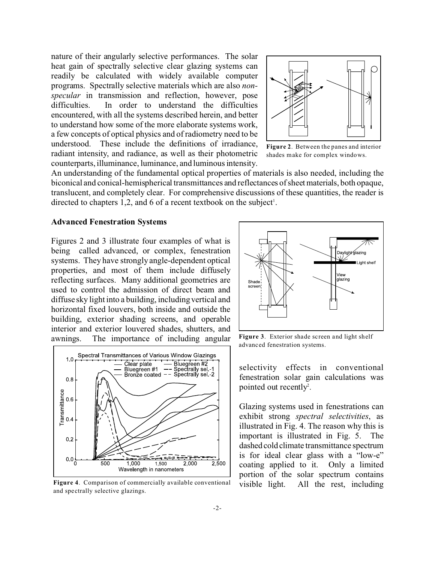nature of their angularly selective performances. The solar heat gain of spectrally selective clear glazing systems can readily be calculated with widely available computer programs. Spectrally selective materials which are also *nonspecular* in transmission and reflection, however, pose difficulties. In order to understand the difficulties encountered, with all the systems described herein, and better to understand how some of the more elaborate systems work, a few concepts of optical physics and of radiometry need to be understood. These include the definitions of irradiance, radiant intensity, and radiance, as well as their photometric counterparts, illuminance, luminance, and luminous intensity.



**Figure 2**. Between the panes and interior shades make for complex windows.

An understanding of the fundamental optical properties of materials is also needed, including the biconical and conical-hemispherical transmittances and reflectances of sheet materials, both opaque, translucent, and completely clear. For comprehensive discussions of these quantities, the reader is directed to chapters  $1,2$ , and 6 of a recent textbook on the subject<sup>1</sup>.

### **Advanced Fenestration Systems**

Figures 2 and 3 illustrate four examples of what is being called advanced, or complex, fenestration systems. They have strongly angle-dependent optical properties, and most of them include diffusely reflecting surfaces. Many additional geometries are used to control the admission of direct beam and diffuse sky light into a building, including vertical and horizontal fixed louvers, both inside and outside the building, exterior shading screens, and operable interior and exterior louvered shades, shutters, and awnings. The importance of including angular



**Figure 4**. Comparison of commercially available conventional and spectrally selective glazings.



**Figure 3**. Exterior shade screen and light shelf advanced fenestration systems.

selectivity effects in conventional fenestration solar gain calculations was pointed out recently<sup>2</sup>.

Glazing systems used in fenestrations can exhibit strong *spectral selectivities*, as illustrated in Fig. 4. The reason why this is important is illustrated in Fig. 5. The dashed cold climate transmittance spectrum is for ideal clear glass with a "low-e" coating applied to it. Only a limited portion of the solar spectrum contains visible light. All the rest, including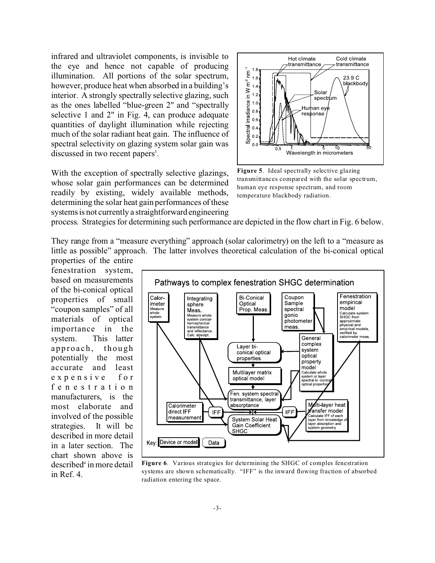infrared and ultraviolet components, is invisible to the eye and hence not capable of producing illumination. All portions of the solar spectrum, however, produce heat when absorbed in a building's interior. A strongly spectrally selective glazing, such as the ones labelled "blue-green 2" and "spectrally selective 1 and 2" in Fig. 4, can produce adequate quantities of daylight illumination while rejecting much of the solar radiant heat gain. The influence of spectral selectivity on glazing system solar gain was discussed in two recent papers<sup>3</sup>.

With the exception of spectrally selective glazings, whose solar gain performances can be determined readily by existing, widely available methods, determining the solar heat gain performances of these systems is not currently a straightforward engineering



**Figure 5**. Ideal spectrally selective glazing transmittances compared with the solar spectrum, human eye response spectrum, and room temperature blackbody radiation.

process. Strategies for determining such performance are depicted in the flow chart in Fig. 6 below.

They range from a "measure everything" approach (solar calorimetry) on the left to a "measure as little as possible" approach. The latter involves theoretical calculation of the bi-conical optical

properties of the entire fenestration system, based on measurements of the bi-conical optical properties of small "coupon samples" of all materials of optical importance in the system. This latter approach, though potentially the most accurate and least expensive for fenestration manufacturers, is the most elaborate and involved of the possible strategies. It will be described in more detail in a later section. The chart shown above is described<sup>4</sup> in more detail in Ref. 4.



**Figure 6**. Various strategies for determining the SHGC of comples fenestration systems are shown schematically. "IFF" is the inward flowing fraction of absorbed radiation entering the space.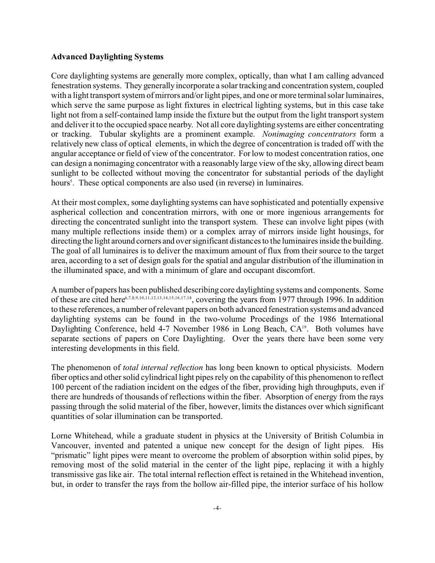## **Advanced Daylighting Systems**

Core daylighting systems are generally more complex, optically, than what I am calling advanced fenestration systems. They generally incorporate a solar tracking and concentration system, coupled with a light transport system of mirrors and/or light pipes, and one or more terminal solar luminaires, which serve the same purpose as light fixtures in electrical lighting systems, but in this case take light not from a self-contained lamp inside the fixture but the output from the light transport system and deliver it to the occupied space nearby. Not all core daylighting systems are either concentrating or tracking. Tubular skylights are a prominent example. *Nonimaging concentrators* form a relatively new class of optical elements, in which the degree of concentration is traded off with the angular acceptance or field of view of the concentrator. For low to modest concentration ratios, one can design a nonimaging concentrator with a reasonably large view of the sky, allowing direct beam sunlight to be collected without moving the concentrator for substantial periods of the daylight hours<sup>5</sup>. These optical components are also used (in reverse) in luminaires.

At their most complex, some daylighting systems can have sophisticated and potentially expensive aspherical collection and concentration mirrors, with one or more ingenious arrangements for directing the concentrated sunlight into the transport system. These can involve light pipes (with many multiple reflections inside them) or a complex array of mirrors inside light housings, for directing the light around corners and over significant distances to the luminaires inside the building. The goal of all luminaires is to deliver the maximum amount of flux from their source to the target area, according to a set of design goals for the spatial and angular distribution of the illumination in the illuminated space, and with a minimum of glare and occupant discomfort.

A number of papers has been published describing core daylighting systems and components. Some of these are cited here6,7,8,9,10,11,12,13,14,15,16,17,18, covering the years from 1977 through 1996. In addition to these references, a number of relevant papers on both advanced fenestration systems and advanced daylighting systems can be found in the two-volume Procedings of the 1986 International Daylighting Conference, held 4-7 November 1986 in Long Beach, CA<sup>19</sup>. Both volumes have separate sections of papers on Core Daylighting. Over the years there have been some very interesting developments in this field.

The phenomenon of *total internal reflection* has long been known to optical physicists. Modern fiber optics and other solid cylindrical light pipes rely on the capability of this phenomenon to reflect 100 percent of the radiation incident on the edges of the fiber, providing high throughputs, even if there are hundreds of thousands of reflections within the fiber. Absorption of energy from the rays passing through the solid material of the fiber, however, limits the distances over which significant quantities of solar illumination can be transported.

Lorne Whitehead, while a graduate student in physics at the University of British Columbia in Vancouver, invented and patented a unique new concept for the design of light pipes. His "prismatic" light pipes were meant to overcome the problem of absorption within solid pipes, by removing most of the solid material in the center of the light pipe, replacing it with a highly transmissive gas like air. The total internal reflection effect is retained in the Whitehead invention, but, in order to transfer the rays from the hollow air-filled pipe, the interior surface of his hollow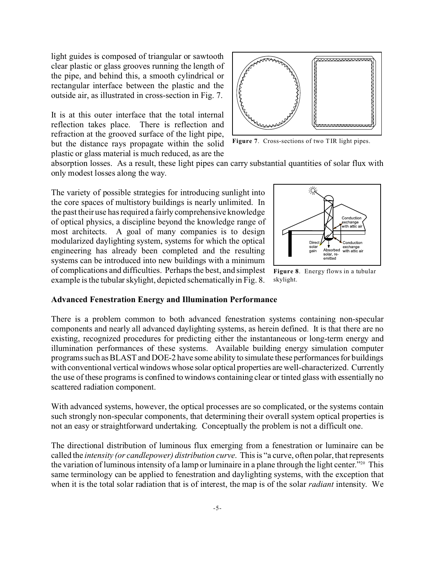light guides is composed of triangular or sawtooth clear plastic or glass grooves running the length of the pipe, and behind this, a smooth cylindrical or rectangular interface between the plastic and the outside air, as illustrated in cross-section in Fig. 7.

It is at this outer interface that the total internal reflection takes place. There is reflection and refraction at the grooved surface of the light pipe, but the distance rays propagate within the solid plastic or glass material is much reduced, as are the



**Figure 7**. Cross-sections of two TIR light pipes.

absorption losses. As a result, these light pipes can carry substantial quantities of solar flux with only modest losses along the way.

The variety of possible strategies for introducing sunlight into the core spaces of multistory buildings is nearly unlimited. In the past their use has required a fairly comprehensive knowledge of optical physics, a discipline beyond the knowledge range of most architects. A goal of many companies is to design modularized daylighting system, systems for which the optical engineering has already been completed and the resulting systems can be introduced into new buildings with a minimum of complications and difficulties. Perhaps the best, and simplest example is the tubular skylight, depicted schematically in Fig. 8.



**Figure 8**. Energy flows in a tubular skylight.

#### **Advanced Fenestration Energy and Illumination Performance**

There is a problem common to both advanced fenestration systems containing non-specular components and nearly all advanced daylighting systems, as herein defined. It is that there are no existing, recognized procedures for predicting either the instantaneous or long-term energy and illumination performances of these systems. Available building energy simulation computer programs such as BLAST and DOE-2 have some ability to simulate these performances for buildings with conventional vertical windows whose solar optical properties are well-characterized. Currently the use of these programs is confined to windows containing clear or tinted glass with essentially no scattered radiation component.

With advanced systems, however, the optical processes are so complicated, or the systems contain such strongly non-specular components, that determining their overall system optical properties is not an easy or straightforward undertaking. Conceptually the problem is not a difficult one.

The directional distribution of luminous flux emerging from a fenestration or luminaire can be called the *intensity (or candlepower) distribution curve*. This is "a curve, often polar, that represents the variation of luminous intensity of a lamp or luminaire in a plane through the light center."20 This same terminology can be applied to fenestration and daylighting systems, with the exception that when it is the total solar radiation that is of interest, the map is of the solar *radiant* intensity. We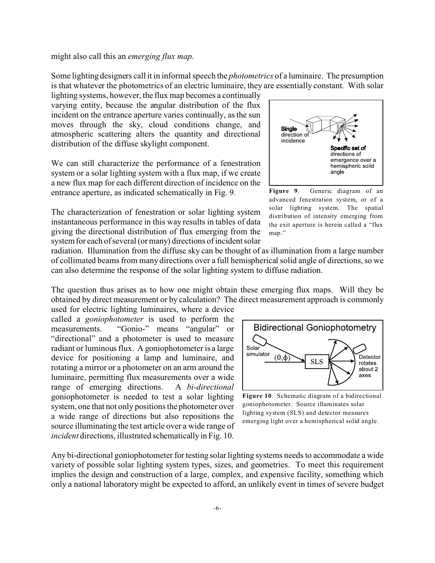might also call this an *emerging flux map*.

Some lighting designers call it in informal speech the *photometrics* of a luminaire. The presumption is that whatever the photometrics of an electric luminaire, they are essentially constant. With solar

lighting systems, however, the flux map becomes a continually varying entity, because the angular distribution of the flux incident on the entrance aperture varies continually, as the sun moves through the sky, cloud conditions change, and atmospheric scattering alters the quantity and directional distribution of the diffuse skylight component.

We can still characterize the performance of a fenestration system or a solar lighting system with a flux map, if we create a new flux map for each different direction of incidence on the entrance aperture, as indicated schematically in Fig. 9.

The characterization of fenestration or solar lighting system instantaneous performance in this way results in tables of data giving the directional distribution of flux emerging from the system for each of several (or many) directions of incident solar



**Figure 9**. Generic diagram of an advanced fenestration system, or of a solar lighting system. The spatial distribution of intensity emerging from the exit aperture is herein called a "flux map."

radiation. Illumination from the diffuse sky can be thought of as illumination from a large number of collimated beams from many directions over a full hemispherical solid angle of directions, so we can also determine the response of the solar lighting system to diffuse radiation.

The question thus arises as to how one might obtain these emerging flux maps. Will they be obtained by direct measurement or by calculation? The direct measurement approach is commonly

used for electric lighting luminaires, where a device called a *goniophotometer* is used to perform the measurements. "Gonio-" means "angular" or "directional" and a photometer is used to measure radiant or luminous flux. A goniophotometer is a large device for positioning a lamp and luminaire, and rotating a mirror or a photometer on an arm around the luminaire, permitting flux measurements over a wide range of emerging directions. A *bi-directional* goniophotometer is needed to test a solar lighting system, one that not only positions the photometer over a wide range of directions but also repositions the source illuminating the test article over a wide range of *incident* directions, illustrated schematically in Fig. 10.



**Figure 10**. Schematic diagram of a bidirectional goniophotometer. Source illuminates solar lighting system (SLS) and detector measures emerging light over a hemispherical solid angle.

Any bi-directional goniophotometer for testing solar lighting systems needs to accommodate a wide variety of possible solar lighting system types, sizes, and geometries. To meet this requirement implies the design and construction of a large, complex, and expensive facility, something which only a national laboratory might be expected to afford, an unlikely event in times of severe budget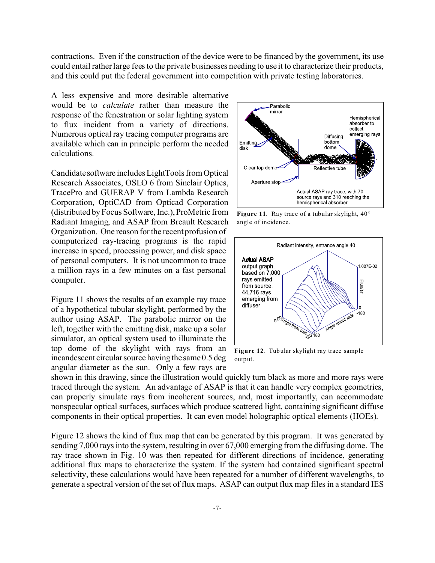contractions. Even if the construction of the device were to be financed by the government, its use could entail rather large fees to the private businesses needing to use it to characterize their products, and this could put the federal government into competition with private testing laboratories.

A less expensive and more desirable alternative would be to *calculate* rather than measure the response of the fenestration or solar lighting system to flux incident from a variety of directions. Numerous optical ray tracing computer programs are available which can in principle perform the needed calculations.

Candidatesoftware includes LightTools from Optical Research Associates, OSLO 6 from Sinclair Optics, TracePro and GUERAP V from Lambda Research Corporation, OptiCAD from Opticad Corporation (distributed by Focus Software, Inc.), ProMetric from Radiant Imaging, and ASAP from Breault Research Organization. One reason for the recent profusion of computerized ray-tracing programs is the rapid increase in speed, processing power, and disk space of personal computers. It is not uncommon to trace a million rays in a few minutes on a fast personal computer.

Figure 11 shows the results of an example ray trace of a hypothetical tubular skylight, performed by the author using ASAP. The parabolic mirror on the left, together with the emitting disk, make up a solar simulator, an optical system used to illuminate the top dome of the skylight with rays from an incandescent circular source having the same 0.5 deg angular diameter as the sun. Only a few rays are



**Figure 11**. Ray trace of a tubular skylight, 40° angle of incidence.



**Figure 12**. Tubular skylight ray trace sample output.

shown in this drawing, since the illustration would quickly turn black as more and more rays were traced through the system. An advantage of ASAP is that it can handle very complex geometries, can properly simulate rays from incoherent sources, and, most importantly, can accommodate nonspecular optical surfaces, surfaces which produce scattered light, containing significant diffuse components in their optical properties. It can even model holographic optical elements (HOEs).

Figure 12 shows the kind of flux map that can be generated by this program. It was generated by sending 7,000 rays into the system, resulting in over 67,000 emerging from the diffusing dome. The ray trace shown in Fig. 10 was then repeated for different directions of incidence, generating additional flux maps to characterize the system. If the system had contained significant spectral selectivity, these calculations would have been repeated for a number of different wavelengths, to generate a spectral version of the set of flux maps. ASAP can output flux map files in a standard IES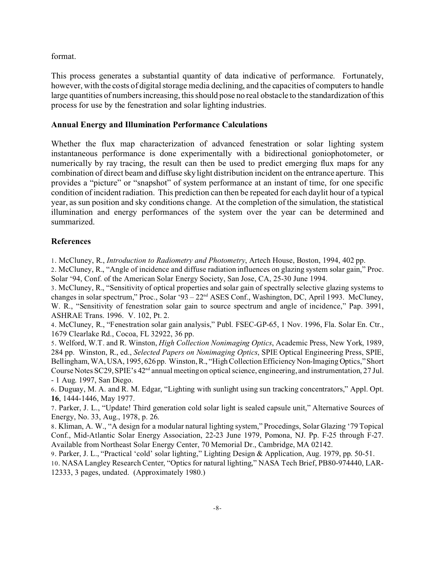format.

This process generates a substantial quantity of data indicative of performance. Fortunately, however, with the costs of digital storage media declining, and the capacities of computers to handle large quantities of numbers increasing, this should pose no real obstacle to the standardization of this process for use by the fenestration and solar lighting industries.

## **Annual Energy and Illumination Performance Calculations**

Whether the flux map characterization of advanced fenestration or solar lighting system instantaneous performance is done experimentally with a bidirectional goniophotometer, or numerically by ray tracing, the result can then be used to predict emerging flux maps for any combination of direct beam and diffuse sky light distribution incident on the entrance aperture. This provides a "picture" or "snapshot" of system performance at an instant of time, for one specific condition of incident radiation. This prediction can then be repeated for each daylit hour of a typical year, as sun position and sky conditions change. At the completion of the simulation, the statistical illumination and energy performances of the system over the year can be determined and summarized.

## **References**

1. McCluney, R., *Introduction to Radiometry and Photometry*, Artech House, Boston, 1994, 402 pp.

2. McCluney, R., "Angle of incidence and diffuse radiation influences on glazing system solar gain," Proc. Solar '94, Conf. of the American Solar Energy Society, San Jose, CA, 25-30 June 1994.

3. McCluney, R., "Sensitivity of optical properties and solar gain of spectrally selective glazing systems to changes in solar spectrum," Proc., Solar '93 – 22<sup>nd</sup> ASES Conf., Washington, DC, April 1993. McCluney, W. R., "Sensitivity of fenestration solar gain to source spectrum and angle of incidence," Pap. 3991, ASHRAE Trans. 1996. V. 102, Pt. 2.

4. McCluney, R., "Fenestration solar gain analysis," Publ. FSEC-GP-65, 1 Nov. 1996, Fla. Solar En. Ctr., 1679 Clearlake Rd., Cocoa, FL 32922, 36 pp.

5. Welford, W.T. and R. Winston, *High Collection Nonimaging Optics*, Academic Press, New York, 1989, 284 pp. Winston, R., ed., *Selected Papers on Nonimaging Optics*, SPIE Optical Engineering Press, SPIE, Bellingham, WA, USA, 1995, 626 pp. Winston, R., "High Collection Efficiency Non-Imaging Optics," Short Course Notes SC29, SPIE's 42<sup>nd</sup> annual meeting on optical science, engineering, and instrumentation, 27 Jul. - 1 Aug. 1997, San Diego.

6. Duguay, M. A. and R. M. Edgar, "Lighting with sunlight using sun tracking concentrators," Appl. Opt. **16**, 1444-1446, May 1977.

7. Parker, J. L., "Update! Third generation cold solar light is sealed capsule unit," Alternative Sources of Energy, No. 33, Aug., 1978, p. 26.

8. Kliman, A. W., "A design for a modular natural lighting system," Procedings, Solar Glazing '79 Topical Conf., Mid-Atlantic Solar Energy Association, 22-23 June 1979, Pomona, NJ. Pp. F-25 through F-27. Available from Northeast Solar Energy Center, 70 Memorial Dr., Cambridge, MA 02142.

9. Parker, J. L., "Practical 'cold' solar lighting," Lighting Design & Application, Aug. 1979, pp. 50-51. 10. NASA Langley Research Center, "Optics for natural lighting," NASA Tech Brief, PB80-974440, LAR-

12333, 3 pages, undated. (Approximately 1980.)